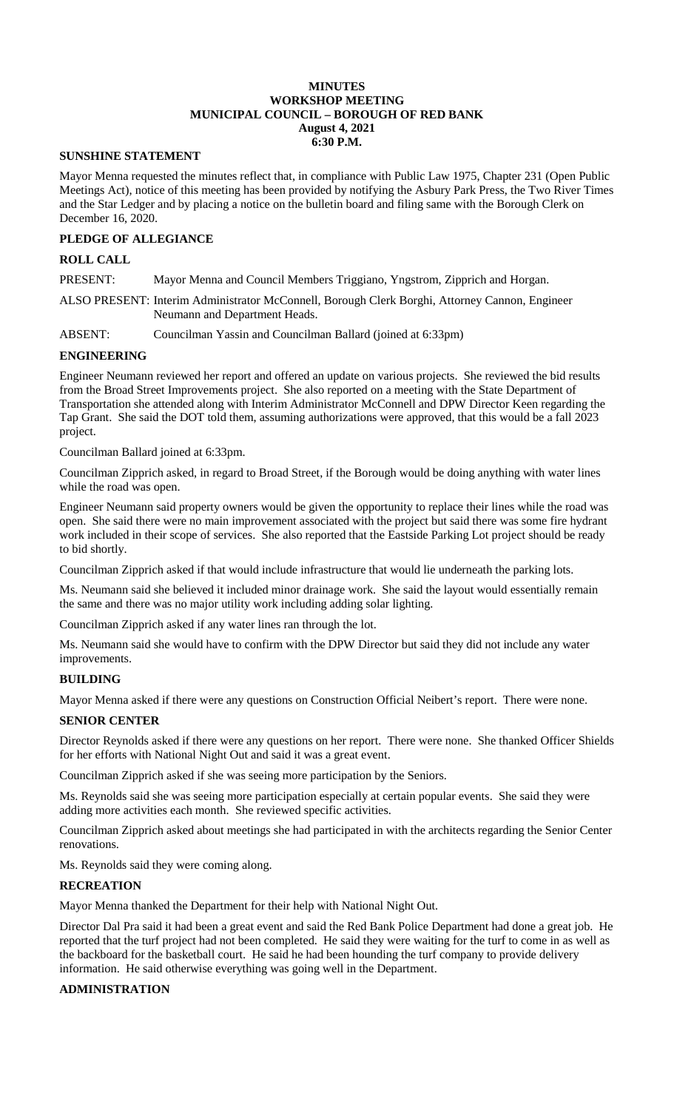#### **MINUTES WORKSHOP MEETING MUNICIPAL COUNCIL – BOROUGH OF RED BANK August 4, 2021 6:30 P.M.**

#### **SUNSHINE STATEMENT**

Mayor Menna requested the minutes reflect that, in compliance with Public Law 1975, Chapter 231 (Open Public Meetings Act), notice of this meeting has been provided by notifying the Asbury Park Press, the Two River Times and the Star Ledger and by placing a notice on the bulletin board and filing same with the Borough Clerk on December 16, 2020.

## **PLEDGE OF ALLEGIANCE**

### **ROLL CALL**

PRESENT: Mayor Menna and Council Members Triggiano, Yngstrom, Zipprich and Horgan.

ALSO PRESENT: Interim Administrator McConnell, Borough Clerk Borghi, Attorney Cannon, Engineer Neumann and Department Heads.

ABSENT: Councilman Yassin and Councilman Ballard (joined at 6:33pm)

#### **ENGINEERING**

Engineer Neumann reviewed her report and offered an update on various projects. She reviewed the bid results from the Broad Street Improvements project. She also reported on a meeting with the State Department of Transportation she attended along with Interim Administrator McConnell and DPW Director Keen regarding the Tap Grant. She said the DOT told them, assuming authorizations were approved, that this would be a fall 2023 project.

Councilman Ballard joined at 6:33pm.

Councilman Zipprich asked, in regard to Broad Street, if the Borough would be doing anything with water lines while the road was open.

Engineer Neumann said property owners would be given the opportunity to replace their lines while the road was open. She said there were no main improvement associated with the project but said there was some fire hydrant work included in their scope of services. She also reported that the Eastside Parking Lot project should be ready to bid shortly.

Councilman Zipprich asked if that would include infrastructure that would lie underneath the parking lots.

Ms. Neumann said she believed it included minor drainage work. She said the layout would essentially remain the same and there was no major utility work including adding solar lighting.

Councilman Zipprich asked if any water lines ran through the lot.

Ms. Neumann said she would have to confirm with the DPW Director but said they did not include any water improvements.

### **BUILDING**

Mayor Menna asked if there were any questions on Construction Official Neibert's report. There were none.

### **SENIOR CENTER**

Director Reynolds asked if there were any questions on her report. There were none. She thanked Officer Shields for her efforts with National Night Out and said it was a great event.

Councilman Zipprich asked if she was seeing more participation by the Seniors.

Ms. Reynolds said she was seeing more participation especially at certain popular events. She said they were adding more activities each month. She reviewed specific activities.

Councilman Zipprich asked about meetings she had participated in with the architects regarding the Senior Center renovations.

Ms. Reynolds said they were coming along.

#### **RECREATION**

Mayor Menna thanked the Department for their help with National Night Out.

Director Dal Pra said it had been a great event and said the Red Bank Police Department had done a great job. He reported that the turf project had not been completed. He said they were waiting for the turf to come in as well as the backboard for the basketball court. He said he had been hounding the turf company to provide delivery information. He said otherwise everything was going well in the Department.

#### **ADMINISTRATION**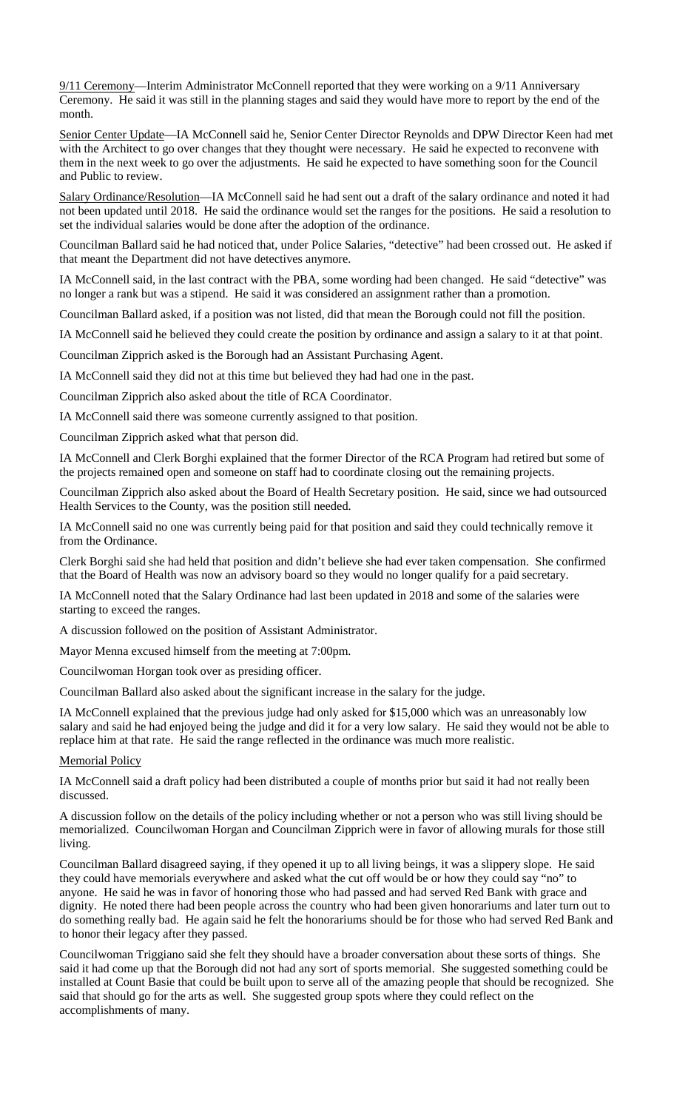9/11 Ceremony—Interim Administrator McConnell reported that they were working on a 9/11 Anniversary Ceremony. He said it was still in the planning stages and said they would have more to report by the end of the month.

Senior Center Update—IA McConnell said he, Senior Center Director Reynolds and DPW Director Keen had met with the Architect to go over changes that they thought were necessary. He said he expected to reconvene with them in the next week to go over the adjustments. He said he expected to have something soon for the Council and Public to review.

Salary Ordinance/Resolution—IA McConnell said he had sent out a draft of the salary ordinance and noted it had not been updated until 2018. He said the ordinance would set the ranges for the positions. He said a resolution to set the individual salaries would be done after the adoption of the ordinance.

Councilman Ballard said he had noticed that, under Police Salaries, "detective" had been crossed out. He asked if that meant the Department did not have detectives anymore.

IA McConnell said, in the last contract with the PBA, some wording had been changed. He said "detective" was no longer a rank but was a stipend. He said it was considered an assignment rather than a promotion.

Councilman Ballard asked, if a position was not listed, did that mean the Borough could not fill the position.

IA McConnell said he believed they could create the position by ordinance and assign a salary to it at that point.

Councilman Zipprich asked is the Borough had an Assistant Purchasing Agent.

IA McConnell said they did not at this time but believed they had had one in the past.

Councilman Zipprich also asked about the title of RCA Coordinator.

IA McConnell said there was someone currently assigned to that position.

Councilman Zipprich asked what that person did.

IA McConnell and Clerk Borghi explained that the former Director of the RCA Program had retired but some of the projects remained open and someone on staff had to coordinate closing out the remaining projects.

Councilman Zipprich also asked about the Board of Health Secretary position. He said, since we had outsourced Health Services to the County, was the position still needed.

IA McConnell said no one was currently being paid for that position and said they could technically remove it from the Ordinance.

Clerk Borghi said she had held that position and didn't believe she had ever taken compensation. She confirmed that the Board of Health was now an advisory board so they would no longer qualify for a paid secretary.

IA McConnell noted that the Salary Ordinance had last been updated in 2018 and some of the salaries were starting to exceed the ranges.

A discussion followed on the position of Assistant Administrator.

Mayor Menna excused himself from the meeting at 7:00pm.

Councilwoman Horgan took over as presiding officer.

Councilman Ballard also asked about the significant increase in the salary for the judge.

IA McConnell explained that the previous judge had only asked for \$15,000 which was an unreasonably low salary and said he had enjoyed being the judge and did it for a very low salary. He said they would not be able to replace him at that rate. He said the range reflected in the ordinance was much more realistic.

Memorial Policy

IA McConnell said a draft policy had been distributed a couple of months prior but said it had not really been discussed.

A discussion follow on the details of the policy including whether or not a person who was still living should be memorialized. Councilwoman Horgan and Councilman Zipprich were in favor of allowing murals for those still living.

Councilman Ballard disagreed saying, if they opened it up to all living beings, it was a slippery slope. He said they could have memorials everywhere and asked what the cut off would be or how they could say "no" to anyone. He said he was in favor of honoring those who had passed and had served Red Bank with grace and dignity. He noted there had been people across the country who had been given honorariums and later turn out to do something really bad. He again said he felt the honorariums should be for those who had served Red Bank and to honor their legacy after they passed.

Councilwoman Triggiano said she felt they should have a broader conversation about these sorts of things. She said it had come up that the Borough did not had any sort of sports memorial. She suggested something could be installed at Count Basie that could be built upon to serve all of the amazing people that should be recognized. She said that should go for the arts as well. She suggested group spots where they could reflect on the accomplishments of many.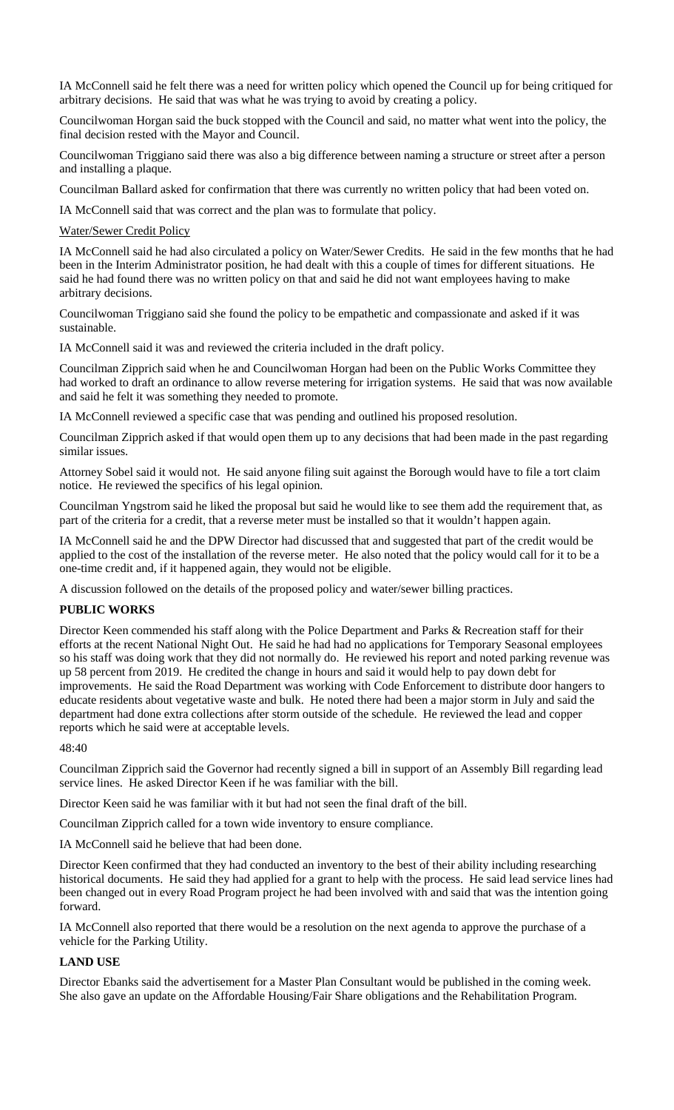IA McConnell said he felt there was a need for written policy which opened the Council up for being critiqued for arbitrary decisions. He said that was what he was trying to avoid by creating a policy.

Councilwoman Horgan said the buck stopped with the Council and said, no matter what went into the policy, the final decision rested with the Mayor and Council.

Councilwoman Triggiano said there was also a big difference between naming a structure or street after a person and installing a plaque.

Councilman Ballard asked for confirmation that there was currently no written policy that had been voted on.

IA McConnell said that was correct and the plan was to formulate that policy.

Water/Sewer Credit Policy

IA McConnell said he had also circulated a policy on Water/Sewer Credits. He said in the few months that he had been in the Interim Administrator position, he had dealt with this a couple of times for different situations. He said he had found there was no written policy on that and said he did not want employees having to make arbitrary decisions.

Councilwoman Triggiano said she found the policy to be empathetic and compassionate and asked if it was sustainable.

IA McConnell said it was and reviewed the criteria included in the draft policy.

Councilman Zipprich said when he and Councilwoman Horgan had been on the Public Works Committee they had worked to draft an ordinance to allow reverse metering for irrigation systems. He said that was now available and said he felt it was something they needed to promote.

IA McConnell reviewed a specific case that was pending and outlined his proposed resolution.

Councilman Zipprich asked if that would open them up to any decisions that had been made in the past regarding similar issues.

Attorney Sobel said it would not. He said anyone filing suit against the Borough would have to file a tort claim notice. He reviewed the specifics of his legal opinion.

Councilman Yngstrom said he liked the proposal but said he would like to see them add the requirement that, as part of the criteria for a credit, that a reverse meter must be installed so that it wouldn't happen again.

IA McConnell said he and the DPW Director had discussed that and suggested that part of the credit would be applied to the cost of the installation of the reverse meter. He also noted that the policy would call for it to be a one-time credit and, if it happened again, they would not be eligible.

A discussion followed on the details of the proposed policy and water/sewer billing practices.

### **PUBLIC WORKS**

Director Keen commended his staff along with the Police Department and Parks & Recreation staff for their efforts at the recent National Night Out. He said he had had no applications for Temporary Seasonal employees so his staff was doing work that they did not normally do. He reviewed his report and noted parking revenue was up 58 percent from 2019. He credited the change in hours and said it would help to pay down debt for improvements. He said the Road Department was working with Code Enforcement to distribute door hangers to educate residents about vegetative waste and bulk. He noted there had been a major storm in July and said the department had done extra collections after storm outside of the schedule. He reviewed the lead and copper reports which he said were at acceptable levels.

48:40

Councilman Zipprich said the Governor had recently signed a bill in support of an Assembly Bill regarding lead service lines. He asked Director Keen if he was familiar with the bill.

Director Keen said he was familiar with it but had not seen the final draft of the bill.

Councilman Zipprich called for a town wide inventory to ensure compliance.

IA McConnell said he believe that had been done.

Director Keen confirmed that they had conducted an inventory to the best of their ability including researching historical documents. He said they had applied for a grant to help with the process. He said lead service lines had been changed out in every Road Program project he had been involved with and said that was the intention going forward.

IA McConnell also reported that there would be a resolution on the next agenda to approve the purchase of a vehicle for the Parking Utility.

### **LAND USE**

Director Ebanks said the advertisement for a Master Plan Consultant would be published in the coming week. She also gave an update on the Affordable Housing/Fair Share obligations and the Rehabilitation Program.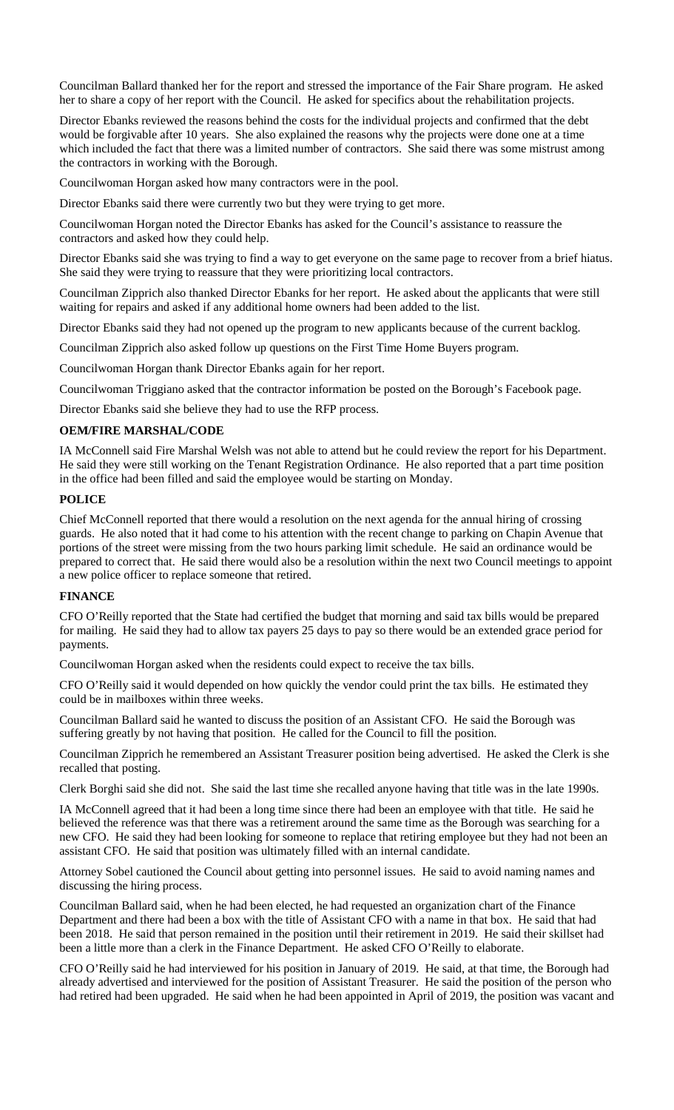Councilman Ballard thanked her for the report and stressed the importance of the Fair Share program. He asked her to share a copy of her report with the Council. He asked for specifics about the rehabilitation projects.

Director Ebanks reviewed the reasons behind the costs for the individual projects and confirmed that the debt would be forgivable after 10 years. She also explained the reasons why the projects were done one at a time which included the fact that there was a limited number of contractors. She said there was some mistrust among the contractors in working with the Borough.

Councilwoman Horgan asked how many contractors were in the pool.

Director Ebanks said there were currently two but they were trying to get more.

Councilwoman Horgan noted the Director Ebanks has asked for the Council's assistance to reassure the contractors and asked how they could help.

Director Ebanks said she was trying to find a way to get everyone on the same page to recover from a brief hiatus. She said they were trying to reassure that they were prioritizing local contractors.

Councilman Zipprich also thanked Director Ebanks for her report. He asked about the applicants that were still waiting for repairs and asked if any additional home owners had been added to the list.

Director Ebanks said they had not opened up the program to new applicants because of the current backlog.

Councilman Zipprich also asked follow up questions on the First Time Home Buyers program.

Councilwoman Horgan thank Director Ebanks again for her report.

Councilwoman Triggiano asked that the contractor information be posted on the Borough's Facebook page.

Director Ebanks said she believe they had to use the RFP process.

### **OEM/FIRE MARSHAL/CODE**

IA McConnell said Fire Marshal Welsh was not able to attend but he could review the report for his Department. He said they were still working on the Tenant Registration Ordinance. He also reported that a part time position in the office had been filled and said the employee would be starting on Monday.

### **POLICE**

Chief McConnell reported that there would a resolution on the next agenda for the annual hiring of crossing guards. He also noted that it had come to his attention with the recent change to parking on Chapin Avenue that portions of the street were missing from the two hours parking limit schedule. He said an ordinance would be prepared to correct that. He said there would also be a resolution within the next two Council meetings to appoint a new police officer to replace someone that retired.

#### **FINANCE**

CFO O'Reilly reported that the State had certified the budget that morning and said tax bills would be prepared for mailing. He said they had to allow tax payers 25 days to pay so there would be an extended grace period for payments.

Councilwoman Horgan asked when the residents could expect to receive the tax bills.

CFO O'Reilly said it would depended on how quickly the vendor could print the tax bills. He estimated they could be in mailboxes within three weeks.

Councilman Ballard said he wanted to discuss the position of an Assistant CFO. He said the Borough was suffering greatly by not having that position. He called for the Council to fill the position.

Councilman Zipprich he remembered an Assistant Treasurer position being advertised. He asked the Clerk is she recalled that posting.

Clerk Borghi said she did not. She said the last time she recalled anyone having that title was in the late 1990s.

IA McConnell agreed that it had been a long time since there had been an employee with that title. He said he believed the reference was that there was a retirement around the same time as the Borough was searching for a new CFO. He said they had been looking for someone to replace that retiring employee but they had not been an assistant CFO. He said that position was ultimately filled with an internal candidate.

Attorney Sobel cautioned the Council about getting into personnel issues. He said to avoid naming names and discussing the hiring process.

Councilman Ballard said, when he had been elected, he had requested an organization chart of the Finance Department and there had been a box with the title of Assistant CFO with a name in that box. He said that had been 2018. He said that person remained in the position until their retirement in 2019. He said their skillset had been a little more than a clerk in the Finance Department. He asked CFO O'Reilly to elaborate.

CFO O'Reilly said he had interviewed for his position in January of 2019. He said, at that time, the Borough had already advertised and interviewed for the position of Assistant Treasurer. He said the position of the person who had retired had been upgraded. He said when he had been appointed in April of 2019, the position was vacant and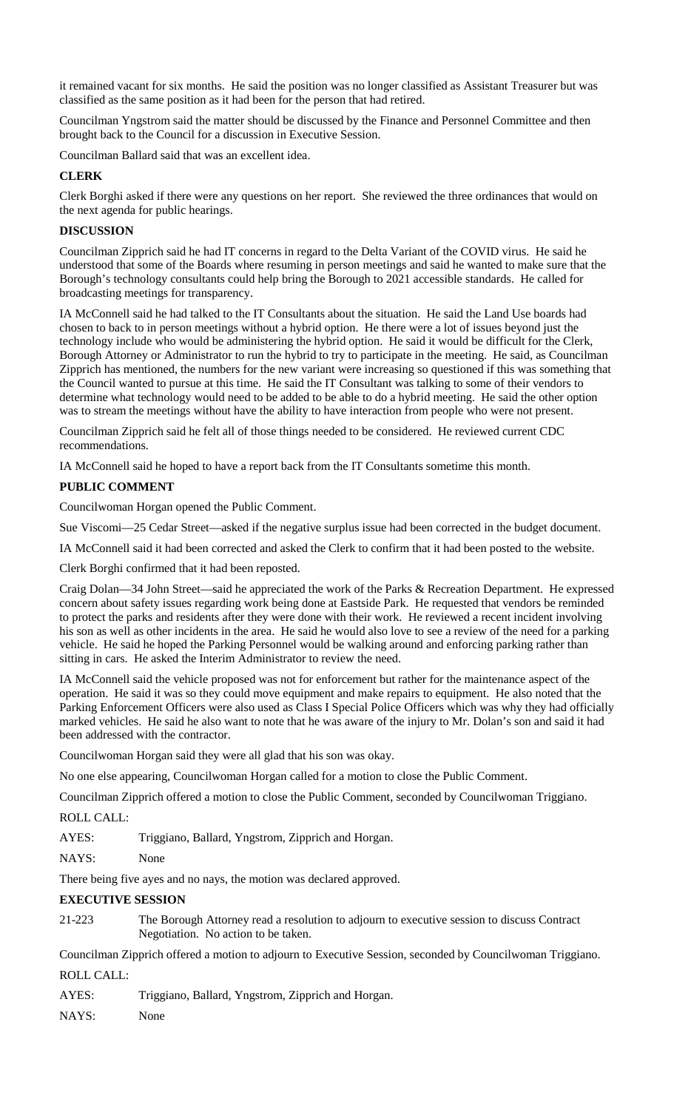it remained vacant for six months. He said the position was no longer classified as Assistant Treasurer but was classified as the same position as it had been for the person that had retired.

Councilman Yngstrom said the matter should be discussed by the Finance and Personnel Committee and then brought back to the Council for a discussion in Executive Session.

Councilman Ballard said that was an excellent idea.

## **CLERK**

Clerk Borghi asked if there were any questions on her report. She reviewed the three ordinances that would on the next agenda for public hearings.

## **DISCUSSION**

Councilman Zipprich said he had IT concerns in regard to the Delta Variant of the COVID virus. He said he understood that some of the Boards where resuming in person meetings and said he wanted to make sure that the Borough's technology consultants could help bring the Borough to 2021 accessible standards. He called for broadcasting meetings for transparency.

IA McConnell said he had talked to the IT Consultants about the situation. He said the Land Use boards had chosen to back to in person meetings without a hybrid option. He there were a lot of issues beyond just the technology include who would be administering the hybrid option. He said it would be difficult for the Clerk, Borough Attorney or Administrator to run the hybrid to try to participate in the meeting. He said, as Councilman Zipprich has mentioned, the numbers for the new variant were increasing so questioned if this was something that the Council wanted to pursue at this time. He said the IT Consultant was talking to some of their vendors to determine what technology would need to be added to be able to do a hybrid meeting. He said the other option was to stream the meetings without have the ability to have interaction from people who were not present.

Councilman Zipprich said he felt all of those things needed to be considered. He reviewed current CDC recommendations.

IA McConnell said he hoped to have a report back from the IT Consultants sometime this month.

## **PUBLIC COMMENT**

Councilwoman Horgan opened the Public Comment.

Sue Viscomi—25 Cedar Street—asked if the negative surplus issue had been corrected in the budget document.

IA McConnell said it had been corrected and asked the Clerk to confirm that it had been posted to the website.

Clerk Borghi confirmed that it had been reposted.

Craig Dolan—34 John Street—said he appreciated the work of the Parks & Recreation Department. He expressed concern about safety issues regarding work being done at Eastside Park. He requested that vendors be reminded to protect the parks and residents after they were done with their work. He reviewed a recent incident involving his son as well as other incidents in the area. He said he would also love to see a review of the need for a parking vehicle. He said he hoped the Parking Personnel would be walking around and enforcing parking rather than sitting in cars. He asked the Interim Administrator to review the need.

IA McConnell said the vehicle proposed was not for enforcement but rather for the maintenance aspect of the operation. He said it was so they could move equipment and make repairs to equipment. He also noted that the Parking Enforcement Officers were also used as Class I Special Police Officers which was why they had officially marked vehicles. He said he also want to note that he was aware of the injury to Mr. Dolan's son and said it had been addressed with the contractor.

Councilwoman Horgan said they were all glad that his son was okay.

No one else appearing, Councilwoman Horgan called for a motion to close the Public Comment.

Councilman Zipprich offered a motion to close the Public Comment, seconded by Councilwoman Triggiano.

ROLL CALL:

AYES: Triggiano, Ballard, Yngstrom, Zipprich and Horgan.

NAYS: None

There being five ayes and no nays, the motion was declared approved.

## **EXECUTIVE SESSION**

21-223 The Borough Attorney read a resolution to adjourn to executive session to discuss Contract Negotiation. No action to be taken.

Councilman Zipprich offered a motion to adjourn to Executive Session, seconded by Councilwoman Triggiano. ROLL CALL:

AYES: Triggiano, Ballard, Yngstrom, Zipprich and Horgan.

NAYS: None